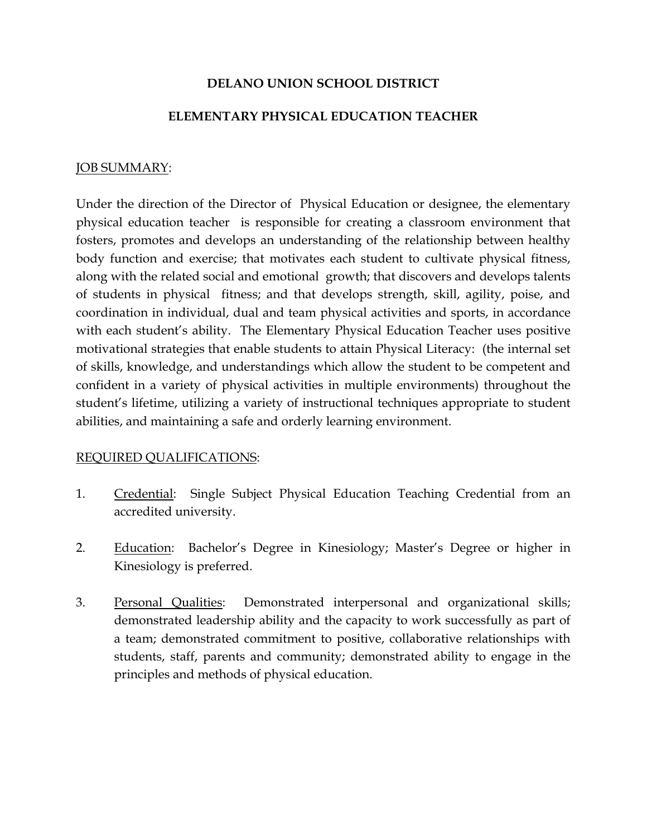## DELANO UNION SCHOOL DISTRICT

## ELEMENTARY PHYSICAL EDUCATION TEACHER

#### JOB SUMMARY:

Under the direction of the Director of Physical Education or designee, the elementary physical education teacher is responsible for creating a classroom environment that fosters, promotes and develops an understanding of the relationship between healthy body function and exercise; that motivates each student to cultivate physical fitness, along with the related social and emotional growth; that discovers and develops talents of students in physical fitness; and that develops strength, skill, agility, poise, and coordination in individual, dual and team physical activities and sports, in accordance with each student's ability. The Elementary Physical Education Teacher uses positive motivational strategies that enable students to attain Physical Literacy: (the internal set of skills, knowledge, and understandings which allow the student to be competent and confident in a variety of physical activities in multiple environments) throughout the student's lifetime, utilizing a variety of instructional techniques appropriate to student abilities, and maintaining a safe and orderly learning environment.

#### REQUIRED QUALIFICATIONS:

- 1. Credential: Single Subject Physical Education Teaching Credential from an accredited university.
- 2. Education: Bachelor's Degree in Kinesiology; Master's Degree or higher in Kinesiology is preferred.
- 3. Personal Qualities: Demonstrated interpersonal and organizational skills; demonstrated leadership ability and the capacity to work successfully as part of a team; demonstrated commitment to positive, collaborative relationships with students, staff, parents and community; demonstrated ability to engage in the principles and methods of physical education.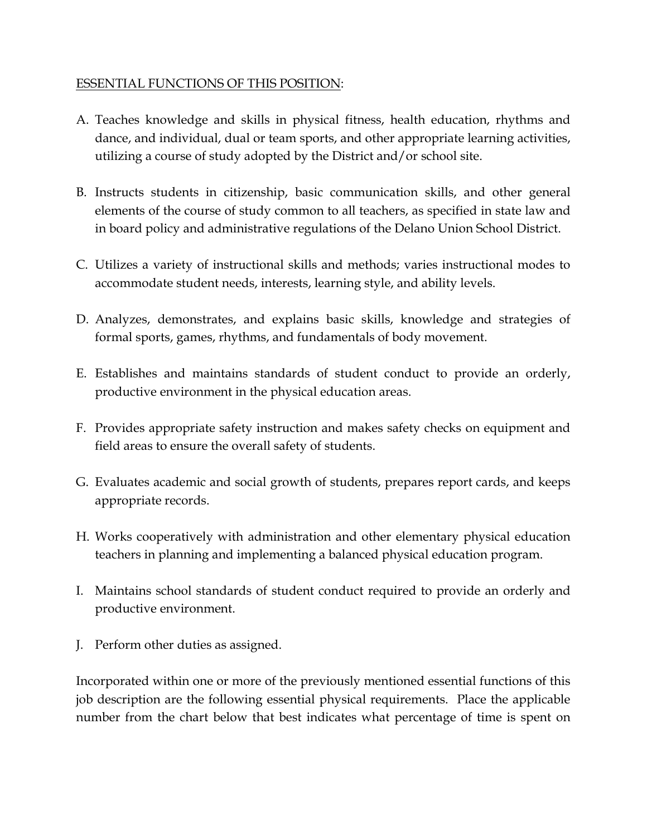# ESSENTIAL FUNCTIONS OF THIS POSITION:

- A. Teaches knowledge and skills in physical fitness, health education, rhythms and dance, and individual, dual or team sports, and other appropriate learning activities, utilizing a course of study adopted by the District and/or school site.
- B. Instructs students in citizenship, basic communication skills, and other general elements of the course of study common to all teachers, as specified in state law and in board policy and administrative regulations of the Delano Union School District.
- C. Utilizes a variety of instructional skills and methods; varies instructional modes to accommodate student needs, interests, learning style, and ability levels.
- D. Analyzes, demonstrates, and explains basic skills, knowledge and strategies of formal sports, games, rhythms, and fundamentals of body movement.
- E. Establishes and maintains standards of student conduct to provide an orderly, productive environment in the physical education areas.
- F. Provides appropriate safety instruction and makes safety checks on equipment and field areas to ensure the overall safety of students.
- G. Evaluates academic and social growth of students, prepares report cards, and keeps appropriate records.
- H. Works cooperatively with administration and other elementary physical education teachers in planning and implementing a balanced physical education program.
- I. Maintains school standards of student conduct required to provide an orderly and productive environment.
- J. Perform other duties as assigned.

Incorporated within one or more of the previously mentioned essential functions of this job description are the following essential physical requirements. Place the applicable number from the chart below that best indicates what percentage of time is spent on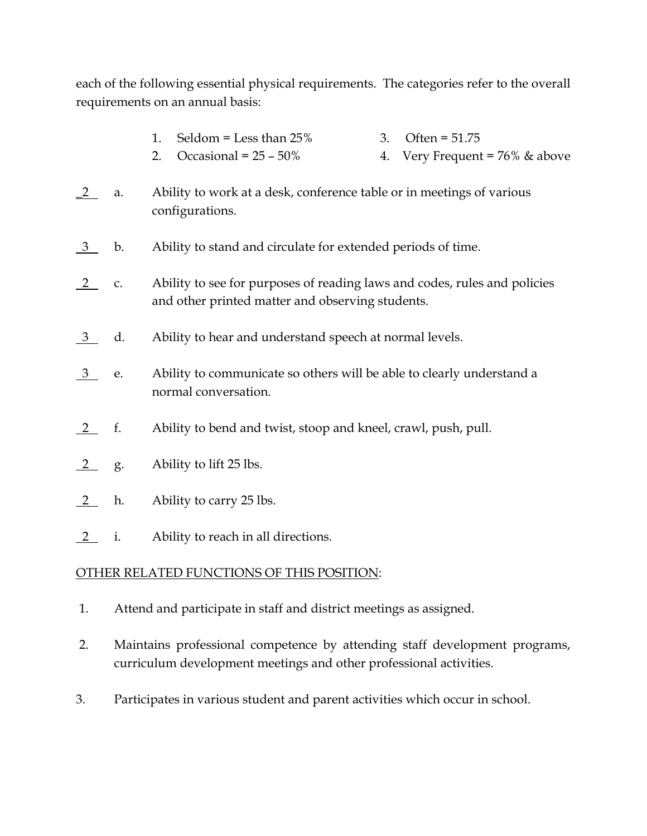each of the following essential physical requirements. The categories refer to the overall requirements on an annual basis:

- 1. Seldom = Less than  $25\%$  3. Often =  $51.75$
- 2. Occasional =  $25 50\%$  4. Very Frequent =  $76\%$  & above
- \_2 a. Ability to work at a desk, conference table or in meetings of various configurations.
- 3 b. Ability to stand and circulate for extended periods of time.
- 2 c. Ability to see for purposes of reading laws and codes, rules and policies and other printed matter and observing students.
- 3 d. Ability to hear and understand speech at normal levels.
- 3 e. Ability to communicate so others will be able to clearly understand a normal conversation.
- 2 f. Ability to bend and twist, stoop and kneel, crawl, push, pull.
- 2 g. Ability to lift 25 lbs.
- 2 h. Ability to carry 25 lbs.
- 2 i. Ability to reach in all directions.

# OTHER RELATED FUNCTIONS OF THIS POSITION:

- 1. Attend and participate in staff and district meetings as assigned.
- 2. Maintains professional competence by attending staff development programs, curriculum development meetings and other professional activities.
- 3. Participates in various student and parent activities which occur in school.